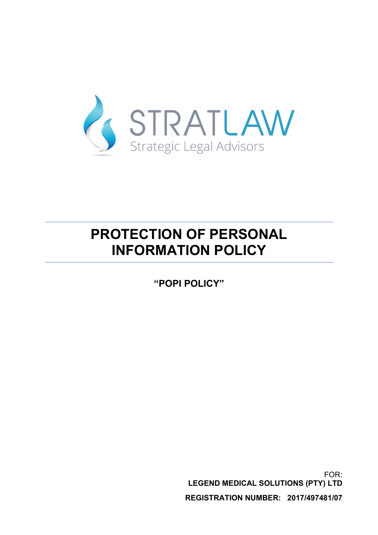

# **PROTECTION OF PERSONAL INFORMATION POLICY**

**"POPI POLICY"**

FOR: **LEGEND MEDICAL SOLUTIONS (PTY) LTD REGISTRATION NUMBER: 2017/497481/07**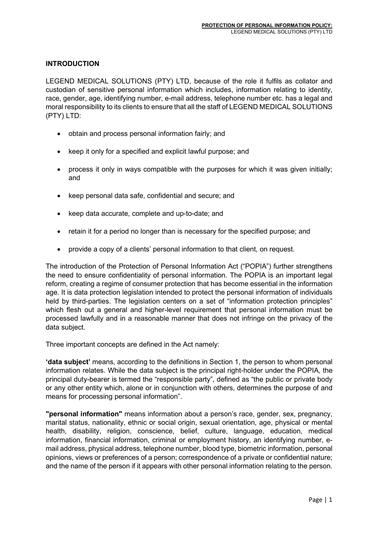## **INTRODUCTION**

LEGEND MEDICAL SOLUTIONS (PTY) LTD, because of the role it fulfils as collator and custodian of sensitive personal information which includes, information relating to identity, race, gender, age, identifying number, e-mail address, telephone number etc. has a legal and moral responsibility to its clients to ensure that all the staff of LEGEND MEDICAL SOLUTIONS (PTY) LTD:

- obtain and process personal information fairly; and
- keep it only for a specified and explicit lawful purpose; and
- process it only in ways compatible with the purposes for which it was given initially; and
- keep personal data safe, confidential and secure; and
- keep data accurate, complete and up-to-date; and
- retain it for a period no longer than is necessary for the specified purpose; and
- provide a copy of a clients' personal information to that client, on request.

The introduction of the Protection of Personal Information Act ("POPIA") further strengthens the need to ensure confidentiality of personal information. The POPIA is an important legal reform, creating a regime of consumer protection that has become essential in the information age. It is data protection legislation intended to protect the personal information of individuals held by third-parties. The legislation centers on a set of "information protection principles" which flesh out a general and higher-level requirement that personal information must be processed lawfully and in a reasonable manner that does not infringe on the privacy of the data subject.

Three important concepts are defined in the Act namely:

**'data subject'** means, according to the definitions in Section 1, the person to whom personal information relates. While the data subject is the principal right-holder under the POPIA, the principal duty-bearer is termed the "responsible party", defined as "the public or private body or any other entity which, alone or in conjunction with others, determines the purpose of and means for processing personal information".

**"personal information"** means information about a person's race, gender, sex, pregnancy, marital status, nationality, ethnic or social origin, sexual orientation, age, physical or mental health, disability, religion, conscience, belief, culture, language, education, medical information, financial information, criminal or employment history, an identifying number, email address, physical address, telephone number, blood type, biometric information, personal opinions, views or preferences of a person; correspondence of a private or confidential nature; and the name of the person if it appears with other personal information relating to the person.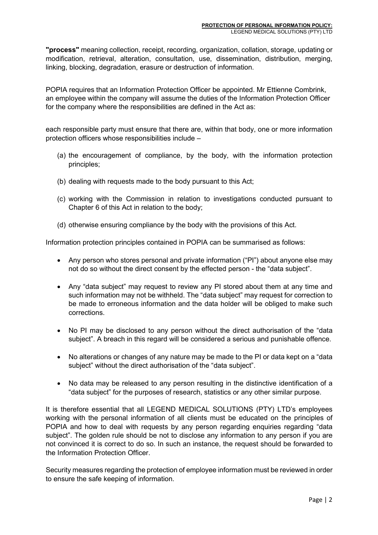**"process"** meaning collection, receipt, recording, organization, collation, storage, updating or modification, retrieval, alteration, consultation, use, dissemination, distribution, merging, linking, blocking, degradation, erasure or destruction of information.

POPIA requires that an Information Protection Officer be appointed. Mr Ettienne Combrink, an employee within the company will assume the duties of the Information Protection Officer for the company where the responsibilities are defined in the Act as:

each responsible party must ensure that there are, within that body, one or more information protection officers whose responsibilities include –

- (a) the encouragement of compliance, by the body, with the information protection principles;
- (b) dealing with requests made to the body pursuant to this Act;
- (c) working with the Commission in relation to investigations conducted pursuant to Chapter 6 of this Act in relation to the body;
- (d) otherwise ensuring compliance by the body with the provisions of this Act.

Information protection principles contained in POPIA can be summarised as follows:

- Any person who stores personal and private information ("PI") about anyone else may not do so without the direct consent by the effected person - the "data subject".
- Any "data subject" may request to review any PI stored about them at any time and such information may not be withheld. The "data subject" may request for correction to be made to erroneous information and the data holder will be obliged to make such corrections.
- No PI may be disclosed to any person without the direct authorisation of the "data subject". A breach in this regard will be considered a serious and punishable offence.
- No alterations or changes of any nature may be made to the PI or data kept on a "data subject" without the direct authorisation of the "data subject".
- No data may be released to any person resulting in the distinctive identification of a "data subject" for the purposes of research, statistics or any other similar purpose.

It is therefore essential that all LEGEND MEDICAL SOLUTIONS (PTY) LTD's employees working with the personal information of all clients must be educated on the principles of POPIA and how to deal with requests by any person regarding enquiries regarding "data subject". The golden rule should be not to disclose any information to any person if you are not convinced it is correct to do so. In such an instance, the request should be forwarded to the Information Protection Officer.

Security measures regarding the protection of employee information must be reviewed in order to ensure the safe keeping of information.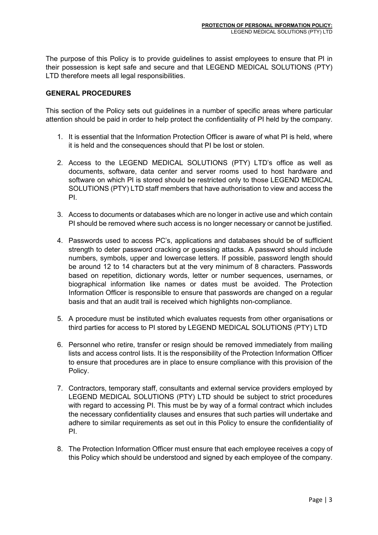The purpose of this Policy is to provide guidelines to assist employees to ensure that PI in their possession is kept safe and secure and that LEGEND MEDICAL SOLUTIONS (PTY) LTD therefore meets all legal responsibilities.

#### **GENERAL PROCEDURES**

This section of the Policy sets out guidelines in a number of specific areas where particular attention should be paid in order to help protect the confidentiality of PI held by the company.

- 1. It is essential that the Information Protection Officer is aware of what PI is held, where it is held and the consequences should that PI be lost or stolen.
- 2. Access to the LEGEND MEDICAL SOLUTIONS (PTY) LTD's office as well as documents, software, data center and server rooms used to host hardware and software on which PI is stored should be restricted only to those LEGEND MEDICAL SOLUTIONS (PTY) LTD staff members that have authorisation to view and access the PI.
- 3. Access to documents or databases which are no longer in active use and which contain PI should be removed where such access is no longer necessary or cannot be justified.
- 4. Passwords used to access PC's, applications and databases should be of sufficient strength to deter password cracking or guessing attacks. A password should include numbers, symbols, upper and lowercase letters. If possible, password length should be around 12 to 14 characters but at the very minimum of 8 characters. Passwords based on repetition, dictionary words, letter or number sequences, usernames, or biographical information like names or dates must be avoided. The Protection Information Officer is responsible to ensure that passwords are changed on a regular basis and that an audit trail is received which highlights non-compliance.
- 5. A procedure must be instituted which evaluates requests from other organisations or third parties for access to PI stored by LEGEND MEDICAL SOLUTIONS (PTY) LTD
- 6. Personnel who retire, transfer or resign should be removed immediately from mailing lists and access control lists. It is the responsibility of the Protection Information Officer to ensure that procedures are in place to ensure compliance with this provision of the Policy.
- 7. Contractors, temporary staff, consultants and external service providers employed by LEGEND MEDICAL SOLUTIONS (PTY) LTD should be subject to strict procedures with regard to accessing PI. This must be by way of a formal contract which includes the necessary confidentiality clauses and ensures that such parties will undertake and adhere to similar requirements as set out in this Policy to ensure the confidentiality of PI.
- 8. The Protection Information Officer must ensure that each employee receives a copy of this Policy which should be understood and signed by each employee of the company.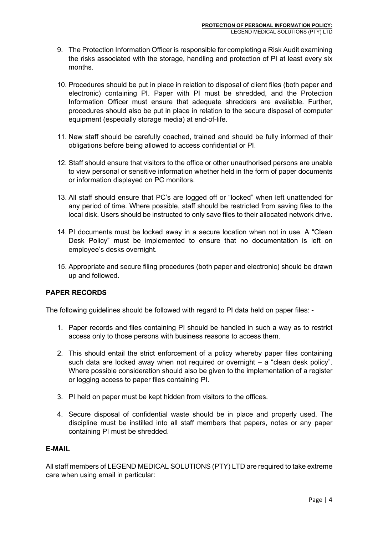- 9. The Protection Information Officer is responsible for completing a Risk Audit examining the risks associated with the storage, handling and protection of PI at least every six months.
- 10. Procedures should be put in place in relation to disposal of client files (both paper and electronic) containing PI. Paper with PI must be shredded, and the Protection Information Officer must ensure that adequate shredders are available. Further, procedures should also be put in place in relation to the secure disposal of computer equipment (especially storage media) at end-of-life.
- 11. New staff should be carefully coached, trained and should be fully informed of their obligations before being allowed to access confidential or PI.
- 12. Staff should ensure that visitors to the office or other unauthorised persons are unable to view personal or sensitive information whether held in the form of paper documents or information displayed on PC monitors.
- 13. All staff should ensure that PC's are logged off or "locked" when left unattended for any period of time. Where possible, staff should be restricted from saving files to the local disk. Users should be instructed to only save files to their allocated network drive.
- 14. PI documents must be locked away in a secure location when not in use. A "Clean Desk Policy" must be implemented to ensure that no documentation is left on employee's desks overnight.
- 15. Appropriate and secure filing procedures (both paper and electronic) should be drawn up and followed.

## **PAPER RECORDS**

The following guidelines should be followed with regard to PI data held on paper files: -

- 1. Paper records and files containing PI should be handled in such a way as to restrict access only to those persons with business reasons to access them.
- 2. This should entail the strict enforcement of a policy whereby paper files containing such data are locked away when not required or overnight – a "clean desk policy". Where possible consideration should also be given to the implementation of a register or logging access to paper files containing PI.
- 3. PI held on paper must be kept hidden from visitors to the offices.
- 4. Secure disposal of confidential waste should be in place and properly used. The discipline must be instilled into all staff members that papers, notes or any paper containing PI must be shredded.

#### **E-MAIL**

All staff members of LEGEND MEDICAL SOLUTIONS (PTY) LTD are required to take extreme care when using email in particular: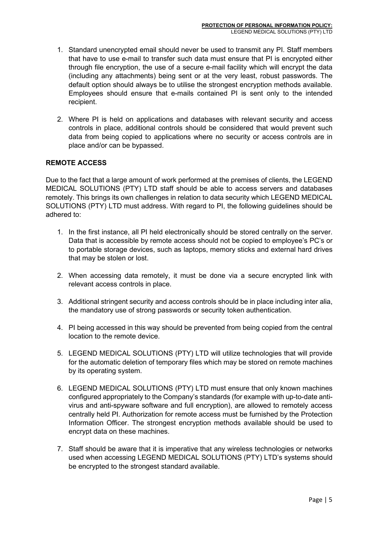- 1. Standard unencrypted email should never be used to transmit any PI. Staff members that have to use e-mail to transfer such data must ensure that PI is encrypted either through file encryption, the use of a secure e-mail facility which will encrypt the data (including any attachments) being sent or at the very least, robust passwords. The default option should always be to utilise the strongest encryption methods available. Employees should ensure that e-mails contained PI is sent only to the intended recipient.
- 2. Where PI is held on applications and databases with relevant security and access controls in place, additional controls should be considered that would prevent such data from being copied to applications where no security or access controls are in place and/or can be bypassed.

## **REMOTE ACCESS**

Due to the fact that a large amount of work performed at the premises of clients, the LEGEND MEDICAL SOLUTIONS (PTY) LTD staff should be able to access servers and databases remotely. This brings its own challenges in relation to data security which LEGEND MEDICAL SOLUTIONS (PTY) LTD must address. With regard to PI, the following guidelines should be adhered to:

- 1. In the first instance, all PI held electronically should be stored centrally on the server. Data that is accessible by remote access should not be copied to employee's PC's or to portable storage devices, such as laptops, memory sticks and external hard drives that may be stolen or lost.
- 2. When accessing data remotely, it must be done via a secure encrypted link with relevant access controls in place.
- 3. Additional stringent security and access controls should be in place including inter alia, the mandatory use of strong passwords or security token authentication.
- 4. PI being accessed in this way should be prevented from being copied from the central location to the remote device.
- 5. LEGEND MEDICAL SOLUTIONS (PTY) LTD will utilize technologies that will provide for the automatic deletion of temporary files which may be stored on remote machines by its operating system.
- 6. LEGEND MEDICAL SOLUTIONS (PTY) LTD must ensure that only known machines configured appropriately to the Company's standards (for example with up-to-date antivirus and anti-spyware software and full encryption), are allowed to remotely access centrally held PI. Authorization for remote access must be furnished by the Protection Information Officer. The strongest encryption methods available should be used to encrypt data on these machines.
- 7. Staff should be aware that it is imperative that any wireless technologies or networks used when accessing LEGEND MEDICAL SOLUTIONS (PTY) LTD's systems should be encrypted to the strongest standard available.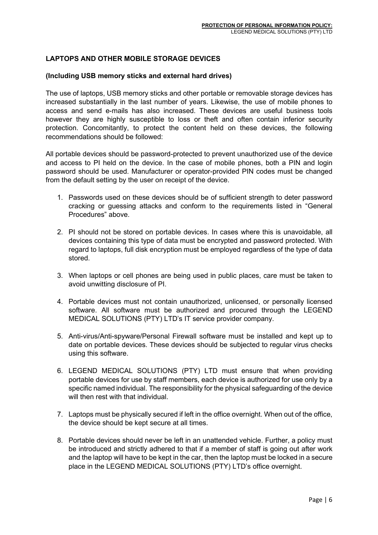#### **LAPTOPS AND OTHER MOBILE STORAGE DEVICES**

#### **(Including USB memory sticks and external hard drives)**

The use of laptops, USB memory sticks and other portable or removable storage devices has increased substantially in the last number of years. Likewise, the use of mobile phones to access and send e-mails has also increased. These devices are useful business tools however they are highly susceptible to loss or theft and often contain inferior security protection. Concomitantly, to protect the content held on these devices, the following recommendations should be followed:

All portable devices should be password-protected to prevent unauthorized use of the device and access to PI held on the device. In the case of mobile phones, both a PIN and login password should be used. Manufacturer or operator-provided PIN codes must be changed from the default setting by the user on receipt of the device.

- 1. Passwords used on these devices should be of sufficient strength to deter password cracking or guessing attacks and conform to the requirements listed in "General Procedures" above.
- 2. PI should not be stored on portable devices. In cases where this is unavoidable, all devices containing this type of data must be encrypted and password protected. With regard to laptops, full disk encryption must be employed regardless of the type of data stored.
- 3. When laptops or cell phones are being used in public places, care must be taken to avoid unwitting disclosure of PI.
- 4. Portable devices must not contain unauthorized, unlicensed, or personally licensed software. All software must be authorized and procured through the LEGEND MEDICAL SOLUTIONS (PTY) LTD's IT service provider company.
- 5. Anti-virus/Anti-spyware/Personal Firewall software must be installed and kept up to date on portable devices. These devices should be subjected to regular virus checks using this software.
- 6. LEGEND MEDICAL SOLUTIONS (PTY) LTD must ensure that when providing portable devices for use by staff members, each device is authorized for use only by a specific named individual. The responsibility for the physical safeguarding of the device will then rest with that individual
- 7. Laptops must be physically secured if left in the office overnight. When out of the office, the device should be kept secure at all times.
- 8. Portable devices should never be left in an unattended vehicle. Further, a policy must be introduced and strictly adhered to that if a member of staff is going out after work and the laptop will have to be kept in the car, then the laptop must be locked in a secure place in the LEGEND MEDICAL SOLUTIONS (PTY) LTD's office overnight.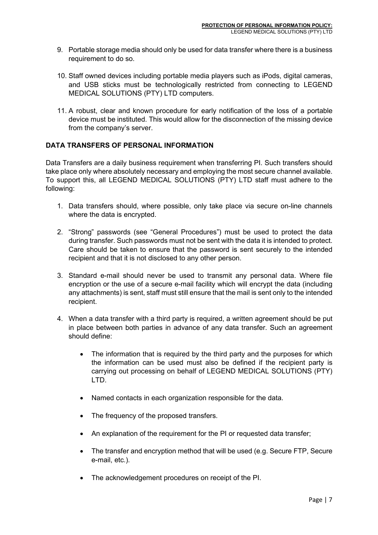- 9. Portable storage media should only be used for data transfer where there is a business requirement to do so.
- 10. Staff owned devices including portable media players such as iPods, digital cameras, and USB sticks must be technologically restricted from connecting to LEGEND MEDICAL SOLUTIONS (PTY) LTD computers.
- 11. A robust, clear and known procedure for early notification of the loss of a portable device must be instituted. This would allow for the disconnection of the missing device from the company's server.

## **DATA TRANSFERS OF PERSONAL INFORMATION**

Data Transfers are a daily business requirement when transferring PI. Such transfers should take place only where absolutely necessary and employing the most secure channel available. To support this, all LEGEND MEDICAL SOLUTIONS (PTY) LTD staff must adhere to the following:

- 1. Data transfers should, where possible, only take place via secure on-line channels where the data is encrypted.
- 2. "Strong" passwords (see "General Procedures") must be used to protect the data during transfer. Such passwords must not be sent with the data it is intended to protect. Care should be taken to ensure that the password is sent securely to the intended recipient and that it is not disclosed to any other person.
- 3. Standard e-mail should never be used to transmit any personal data. Where file encryption or the use of a secure e-mail facility which will encrypt the data (including any attachments) is sent, staff must still ensure that the mail is sent only to the intended recipient.
- 4. When a data transfer with a third party is required, a written agreement should be put in place between both parties in advance of any data transfer. Such an agreement should define:
	- The information that is required by the third party and the purposes for which the information can be used must also be defined if the recipient party is carrying out processing on behalf of LEGEND MEDICAL SOLUTIONS (PTY) LTD.
	- Named contacts in each organization responsible for the data.
	- The frequency of the proposed transfers.
	- An explanation of the requirement for the PI or requested data transfer;
	- The transfer and encryption method that will be used (e.g. Secure FTP, Secure e-mail, etc.).
	- The acknowledgement procedures on receipt of the PI.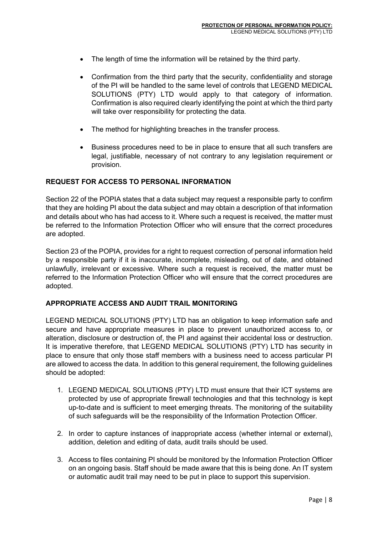- The length of time the information will be retained by the third party.
- Confirmation from the third party that the security, confidentiality and storage of the PI will be handled to the same level of controls that LEGEND MEDICAL SOLUTIONS (PTY) LTD would apply to that category of information. Confirmation is also required clearly identifying the point at which the third party will take over responsibility for protecting the data.
- The method for highlighting breaches in the transfer process.
- Business procedures need to be in place to ensure that all such transfers are legal, justifiable, necessary of not contrary to any legislation requirement or provision.

#### **REQUEST FOR ACCESS TO PERSONAL INFORMATION**

Section 22 of the POPIA states that a data subject may request a responsible party to confirm that they are holding PI about the data subject and may obtain a description of that information and details about who has had access to it. Where such a request is received, the matter must be referred to the Information Protection Officer who will ensure that the correct procedures are adopted.

Section 23 of the POPIA, provides for a right to request correction of personal information held by a responsible party if it is inaccurate, incomplete, misleading, out of date, and obtained unlawfully, irrelevant or excessive. Where such a request is received, the matter must be referred to the Information Protection Officer who will ensure that the correct procedures are adopted.

#### **APPROPRIATE ACCESS AND AUDIT TRAIL MONITORING**

LEGEND MEDICAL SOLUTIONS (PTY) LTD has an obligation to keep information safe and secure and have appropriate measures in place to prevent unauthorized access to, or alteration, disclosure or destruction of, the PI and against their accidental loss or destruction. It is imperative therefore, that LEGEND MEDICAL SOLUTIONS (PTY) LTD has security in place to ensure that only those staff members with a business need to access particular PI are allowed to access the data. In addition to this general requirement, the following guidelines should be adopted:

- 1. LEGEND MEDICAL SOLUTIONS (PTY) LTD must ensure that their ICT systems are protected by use of appropriate firewall technologies and that this technology is kept up-to-date and is sufficient to meet emerging threats. The monitoring of the suitability of such safeguards will be the responsibility of the Information Protection Officer.
- 2. In order to capture instances of inappropriate access (whether internal or external), addition, deletion and editing of data, audit trails should be used.
- 3. Access to files containing PI should be monitored by the Information Protection Officer on an ongoing basis. Staff should be made aware that this is being done. An IT system or automatic audit trail may need to be put in place to support this supervision.